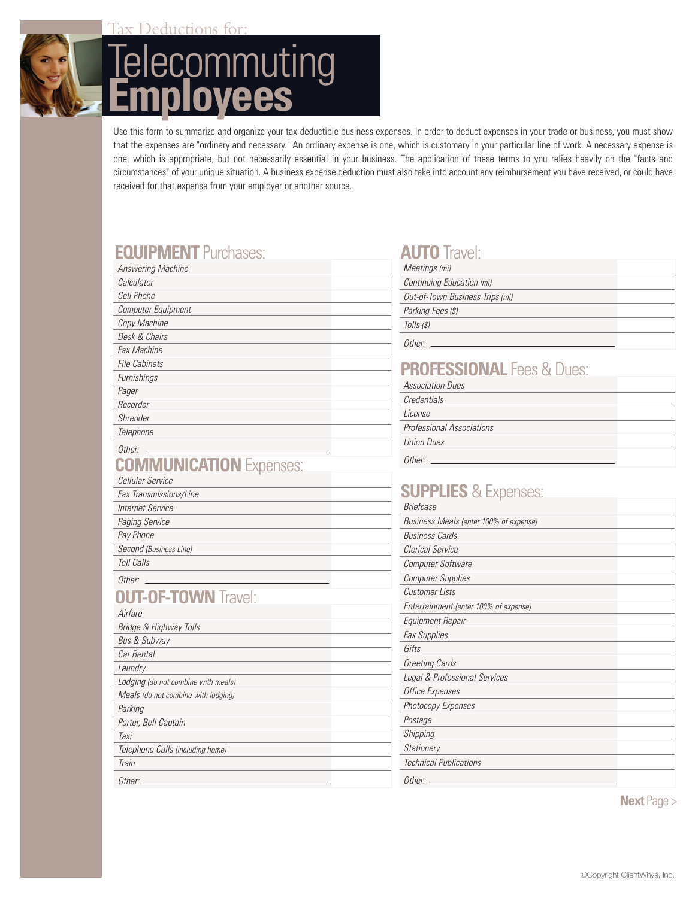

Deductions for

# **Telecommuting Employees**

Use this form to summarize and organize your tax-deductible business expenses. In order to deduct expenses in your trade or business, you must show that the expenses are "ordinary and necessary." An ordinary expense is one, which is customary in your particular line of work. A necessary expense is one, which is appropriate, but not necessarily essential in your business. The application of these terms to you relies heavily on the "facts and circumstances" of your unique situation. A business expense deduction must also take into account any reimbursement you have received, or could have received for that expense from your employer or another source.

# **EQUIPMENT** Purchases:

| Answering Machine    |  |
|----------------------|--|
| Calculator           |  |
| Cell Phone           |  |
| Computer Equipment   |  |
| Copy Machine         |  |
| Desk & Chairs        |  |
| Fax Machine          |  |
| <b>File Cabinets</b> |  |
| Furnishings          |  |
| Pager                |  |
| Recorder             |  |
| Shredder             |  |
| Telephone            |  |
|                      |  |

#### **COMMUNICATION** Expenses: Other: \_

| Cellular Service       |
|------------------------|
| Fax Transmissions/Line |

Internet Service

Paging Service

Pay Phone

Second (Business Line) Toll Calls

Other:

### **OUT-OF-TOWN** Travel:

#### Airfare

| Bridge & Highway Tolls              |
|-------------------------------------|
| <b>Bus &amp; Subway</b>             |
| Car Rental                          |
| Laundry                             |
| Lodging (do not combine with meals) |
| Meals (do not combine with lodging) |
| Parking                             |
| Porter, Bell Captain                |
| Taxi                                |
| Telephone Calls (including home)    |
| Train                               |
| Other:                              |

## **AUTO** Travel:

| Meetings (mi)                   |  |
|---------------------------------|--|
| Continuing Education (mi)       |  |
| Out-of-Town Business Trips (mi) |  |
| Parking Fees (\$)               |  |
| Tolls (\$)                      |  |
| ∩ther∙                          |  |

# **PROFESSIONAL** Fees & Dues:

| <b>Association Dues</b>          |  |
|----------------------------------|--|
| Credentials                      |  |
| License                          |  |
| <b>Professional Associations</b> |  |
| <b>Union Dues</b>                |  |
| Other:                           |  |

# **SUPPLIES** & Expenses:

| <b>Briefcase</b>                       |
|----------------------------------------|
| Business Meals (enter 100% of expense) |
| <b>Business Cards</b>                  |
| Clerical Service                       |
| Computer Software                      |
| <b>Computer Supplies</b>               |
| <b>Customer Lists</b>                  |
| Entertainment (enter 100% of expense)  |
| Equipment Repair                       |
| <b>Fax Supplies</b>                    |
| Gifts                                  |
| <b>Greeting Cards</b>                  |
| Legal & Professional Services          |
| <b>Office Expenses</b>                 |
| Photocopy Expenses                     |
| Postage                                |
| Shipping                               |
| Stationery                             |
| Technical Publications                 |
| Other:                                 |

**Next** Page >